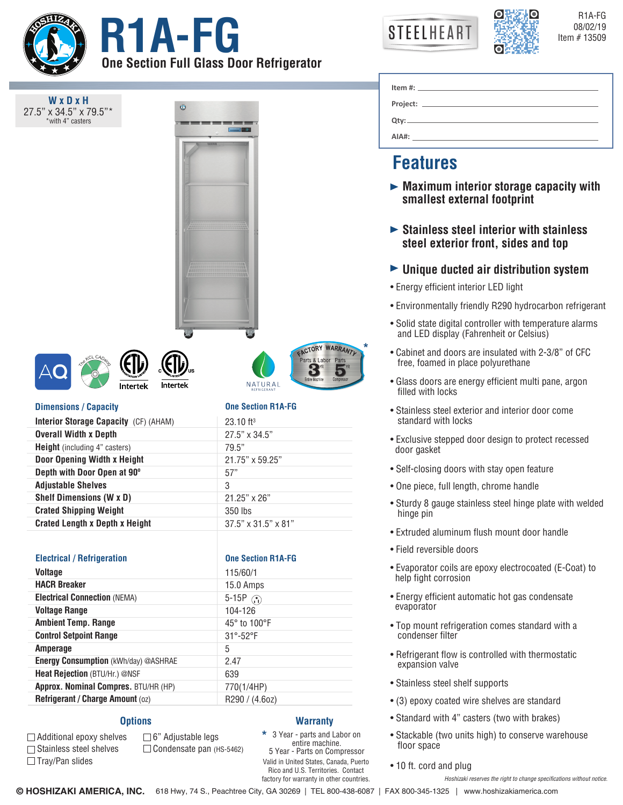

**W x D x H** 27.5" x 34.5" x 79.5" with 4" casters

**OBSERVING STEELHEART RESERVING RESERVING RESERVING RESERVING RESERVING RESERVING RESERVING One Section Full Glass Door Refrigerator**

Ô

| <b>STEELHEART</b> |
|-------------------|
|-------------------|



R1A-FG

|       | Item #: $\qquad \qquad$ $\qquad \qquad$ $\qquad \qquad$ $\qquad \qquad$ $\qquad \qquad$ $\qquad \qquad$ $\qquad \qquad$ $\qquad \qquad$ $\qquad \qquad$ $\qquad$ $\qquad \qquad$ $\qquad$ $\qquad \qquad$ $\qquad$ $\qquad$ $\qquad$ $\qquad$ $\qquad$ $\qquad$ $\qquad$ $\qquad$ $\qquad$ $\qquad$ $\qquad$ $\qquad$ $\qquad$ $\qquad$ $\qquad$ $\qquad$ $\qquad$ |  |
|-------|--------------------------------------------------------------------------------------------------------------------------------------------------------------------------------------------------------------------------------------------------------------------------------------------------------------------------------------------------------------------|--|
|       |                                                                                                                                                                                                                                                                                                                                                                    |  |
|       |                                                                                                                                                                                                                                                                                                                                                                    |  |
|       | $Qtv:$ $\qquad \qquad \qquad$                                                                                                                                                                                                                                                                                                                                      |  |
| AIA#: |                                                                                                                                                                                                                                                                                                                                                                    |  |

# **Features**

**\***

**ACTORY WARRANTY** Labor 3

- **Maximum interior storage capacity with smallest external footprint**
- **Stainless steel interior with stainless steel exterior front, sides and top**
- **Unique ducted air distribution system**
- Energy efficient interior LED light
- Environmentally friendly R290 hydrocarbon refrigerant
- Solid state digital controller with temperature alarms and LED display (Fahrenheit or Celsius)
- Cabinet and doors are insulated with 2-3/8" of CFC free, foamed in place polyurethane
- Glass doors are energy efficient multi pane, argon filled with locks
- Stainless steel exterior and interior door come standard with locks
- Exclusive stepped door design to protect recessed door gasket
- Self-closing doors with stay open feature
- One piece, full length, chrome handle
- Sturdy 8 gauge stainless steel hinge plate with welded hinge pin
- Extruded aluminum flush mount door handle
- Field reversible doors
- Evaporator coils are epoxy electrocoated (E-Coat) to help fight corrosion
- Energy efficient automatic hot gas condensate evaporator
- Top mount refrigeration comes standard with a condenser filter
- Refrigerant flow is controlled with thermostatic expansion valve
- Stainless steel shelf supports
- (3) epoxy coated wire shelves are standard
- Standard with 4" casters (two with brakes)
- Stackable (two units high) to conserve warehouse floor space
- 10 ft. cord and plug

*Hoshizaki reserves the right to change specifications without notice.*

NATURAL Intertek **One Section R1A-FG**  $23.10$  ft $^3$ 27.5" x 34.5" 79.5"

### **Dimensions / Capacity**

| <b>Interior Storage Capacity (CF) (AHAM)</b> | $23.10$ ft <sup>3</sup>         |
|----------------------------------------------|---------------------------------|
| <b>Overall Width x Depth</b>                 | 27.5" x 34.5"                   |
| <b>Height</b> (including 4" casters)         | 79.5"                           |
| Door Opening Width x Height                  | 21.75" x 59.25"                 |
| Depth with Door Open at 90°                  | 57"                             |
| <b>Adjustable Shelves</b>                    | 3                               |
| <b>Shelf Dimensions (W x D)</b>              | $21.25" \times 26"$             |
| <b>Crated Shipping Weight</b>                | 350 lbs                         |
| <b>Crated Length x Depth x Height</b>        | $37.5" \times 31.5" \times 81"$ |

# **Electrical / Refrigeration CONE CONE CONE CONFIDENT CONE CONFIDENTIAL CONE CONFIDENTIAL CONFIDENTIAL CONFIDENTIAL CONFIDENTIAL CONFIDENTIAL CONFIDENTIAL CONFIDENTIAL CONFIDENTIAL CONFIDENTIAL CONFIDENTIAL CONFIDENTIAL C**

| <b>Voltage</b>                              | 115/60/1                    |
|---------------------------------------------|-----------------------------|
| <b>HACR Breaker</b>                         | 15.0 Amps                   |
| <b>Electrical Connection (NEMA)</b>         | 5-15P $\binom{5}{1}$        |
| <b>Voltage Range</b>                        | 104-126                     |
| <b>Ambient Temp. Range</b>                  | 45° to 100°F                |
| <b>Control Setpoint Range</b>               | $31^{\circ} - 52^{\circ}$ F |
| Amperage                                    | 5                           |
| <b>Energy Consumption (kWh/day) @ASHRAE</b> | 2.47                        |
| Heat Rejection (BTU/Hr.) @NSF               | 639                         |
| Approx. Nominal Compres. BTU/HR (HP)        | 770(1/4HP)                  |
| Refrigerant / Charge Amount (oz)            | R290 / (4.60Z)              |

## **Options**

Additional epoxy shelves **□ Stainless steel shelves**  $\Box$  Tray/Pan slides

6" Adjustable legs Condensate pan (HS-5462)

# **Warranty**

Valid in United States, Canada, Puerto Rico and U.S. Territories. Contact factory for warranty in other countries. 3 Year - parts and Labor on entire machine. 5 Year - Parts on Compressor **\***

**© HOSHIZAKI AMERICA, INC.** 618 Hwy, 74 S., Peachtree City, GA 30269 | TEL 800-438-6087 | FAX 800-345-1325 | www.hoshizakiamerica.com